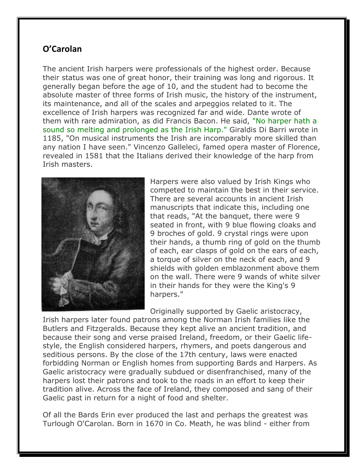## **O'Carolan**

The ancient Irish harpers were professionals of the highest order. Because their status was one of great honor, their training was long and rigorous. It generally began before the age of 10, and the student had to become the absolute master of three forms of Irish music, the history of the instrument, its maintenance, and all of the scales and arpeggios related to it. The excellence of Irish harpers was recognized far and wide. Dante wrote of them with rare admiration, as did Francis Bacon. He said, "No harper hath a sound so melting and prolonged as the Irish Harp." Giraldis Di Barri wrote in 1185, "On musical instruments the Irish are incomparably more skilled than any nation I have seen." Vincenzo Galleleci, famed opera master of Florence, revealed in 1581 that the Italians derived their knowledge of the harp from Irish masters.



Harpers were also valued by Irish Kings who competed to maintain the best in their service. There are several accounts in ancient Irish manuscripts that indicate this, including one that reads, "At the banquet, there were 9 seated in front, with 9 blue flowing cloaks and 9 broches of gold. 9 crystal rings were upon their hands, a thumb ring of gold on the thumb of each, ear clasps of gold on the ears of each, a torque of silver on the neck of each, and 9 shields with golden emblazonment above them on the wall. There were 9 wands of white silver in their hands for they were the King's 9 harpers."

Originally supported by Gaelic aristocracy,

Irish harpers later found patrons among the Norman Irish families like the Butlers and Fitzgeralds. Because they kept alive an ancient tradition, and because their song and verse praised Ireland, freedom, or their Gaelic lifestyle, the English considered harpers, rhymers, and poets dangerous and seditious persons. By the close of the 17th century, laws were enacted forbidding Norman or English homes from supporting Bards and Harpers. As Gaelic aristocracy were gradually subdued or disenfranchised, many of the harpers lost their patrons and took to the roads in an effort to keep their tradition alive. Across the face of Ireland, they composed and sang of their Gaelic past in return for a night of food and shelter.

Of all the Bards Erin ever produced the last and perhaps the greatest was Turlough O'Carolan. Born in 1670 in Co. Meath, he was blind - either from